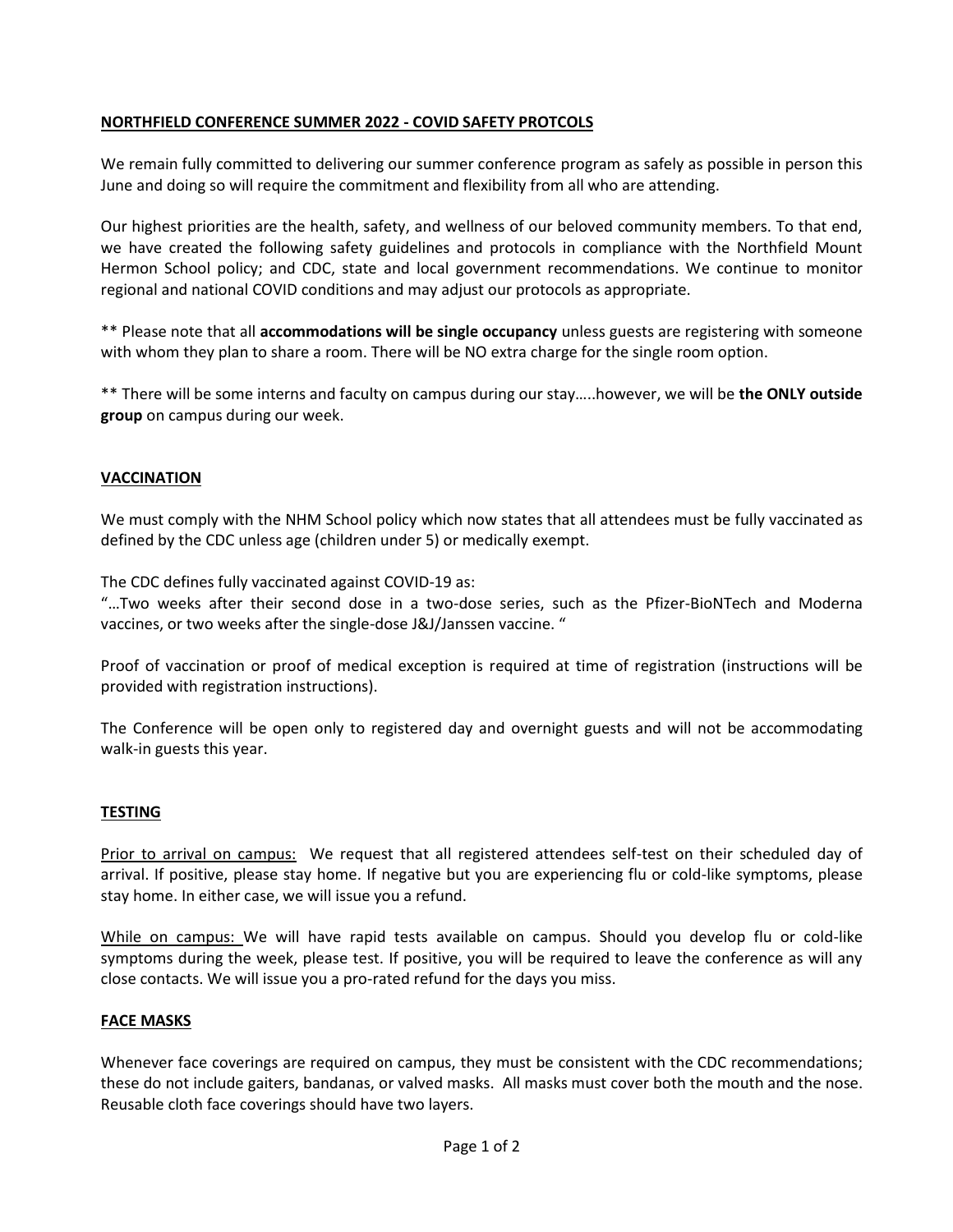## **NORTHFIELD CONFERENCE SUMMER 2022 - COVID SAFETY PROTCOLS**

We remain fully committed to delivering our summer conference program as safely as possible in person this June and doing so will require the commitment and flexibility from all who are attending.

Our highest priorities are the health, safety, and wellness of our beloved community members. To that end, we have created the following safety guidelines and protocols in compliance with the Northfield Mount Hermon School policy; and CDC, state and local government recommendations. We continue to monitor regional and national COVID conditions and may adjust our protocols as appropriate.

\*\* Please note that all **accommodations will be single occupancy** unless guests are registering with someone with whom they plan to share a room. There will be NO extra charge for the single room option.

\*\* There will be some interns and faculty on campus during our stay…..however, we will be **the ONLY outside group** on campus during our week.

# **VACCINATION**

We must comply with the NHM School policy which now states that all attendees must be fully vaccinated as defined by the CDC unless age (children under 5) or medically exempt.

The CDC defines fully vaccinated against COVID-19 as:

"…Two weeks after their second dose in a two-dose series, such as the Pfizer-BioNTech and Moderna vaccines, or two weeks after the single-dose J&J/Janssen vaccine. "

Proof of vaccination or proof of medical exception is required at time of registration (instructions will be provided with registration instructions).

The Conference will be open only to registered day and overnight guests and will not be accommodating walk-in guests this year.

#### **TESTING**

Prior to arrival on campus: We request that all registered attendees self-test on their scheduled day of arrival. If positive, please stay home. If negative but you are experiencing flu or cold-like symptoms, please stay home. In either case, we will issue you a refund.

While on campus: We will have rapid tests available on campus. Should you develop flu or cold-like symptoms during the week, please test. If positive, you will be required to leave the conference as will any close contacts. We will issue you a pro-rated refund for the days you miss.

#### **FACE MASKS**

Whenever face coverings are required on campus, they must be consistent with the [CDC recommendations;](https://www.cdc.gov/coronavirus/2019-ncov/prevent-getting-sick/about-face-coverings.html) these do not include gaiters, bandanas, or valved masks. All masks must cover both the mouth and the nose. Reusable cloth face coverings should have two layers.